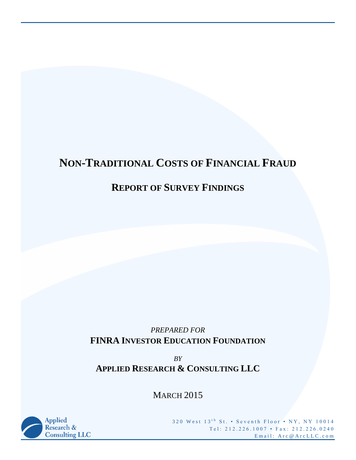# **NON-TRADITIONAL COSTS OF FINANCIAL FRAUD**

## **REPORT OF SURVEY FINDINGS**

## *PREPARED FOR* **FINRA INVESTOR EDUCATION FOUNDATION**

*BY* **APPLIED RESEARCH & CONSULTING LLC**

MARCH 2015



320 West 13<sup>th</sup> St. • Seventh Floor • NY, NY 10014 Tel: 212.226.1007 • Fax: 212.226.0240 Email: Arc@ArcLLC.com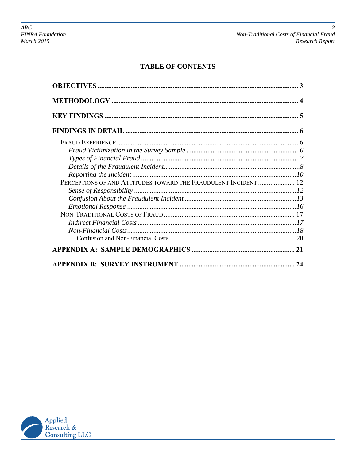## **TABLE OF CONTENTS**

| PERCEPTIONS OF AND ATTITUDES TOWARD THE FRAUDULENT INCIDENT  12 |    |
|-----------------------------------------------------------------|----|
|                                                                 |    |
|                                                                 |    |
|                                                                 |    |
|                                                                 |    |
|                                                                 |    |
|                                                                 |    |
|                                                                 |    |
|                                                                 |    |
|                                                                 | 24 |

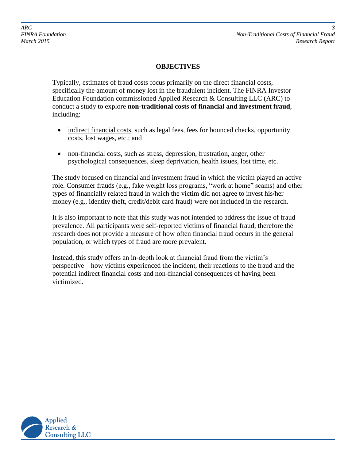#### **OBJECTIVES**

Typically, estimates of fraud costs focus primarily on the direct financial costs, specifically the amount of money lost in the fraudulent incident. The FINRA Investor Education Foundation commissioned Applied Research & Consulting LLC (ARC) to conduct a study to explore **non-traditional costs of financial and investment fraud**, including:

- indirect financial costs, such as legal fees, fees for bounced checks, opportunity costs, lost wages, etc.; and
- non-financial costs, such as stress, depression, frustration, anger, other psychological consequences, sleep deprivation, health issues, lost time, etc.

The study focused on financial and investment fraud in which the victim played an active role. Consumer frauds (e.g., fake weight loss programs, "work at home" scams) and other types of financially related fraud in which the victim did not agree to invest his/her money (e.g., identity theft, credit/debit card fraud) were not included in the research.

It is also important to note that this study was not intended to address the issue of fraud prevalence. All participants were self-reported victims of financial fraud, therefore the research does not provide a measure of how often financial fraud occurs in the general population, or which types of fraud are more prevalent.

Instead, this study offers an in-depth look at financial fraud from the victim's perspective—how victims experienced the incident, their reactions to the fraud and the potential indirect financial costs and non-financial consequences of having been victimized.

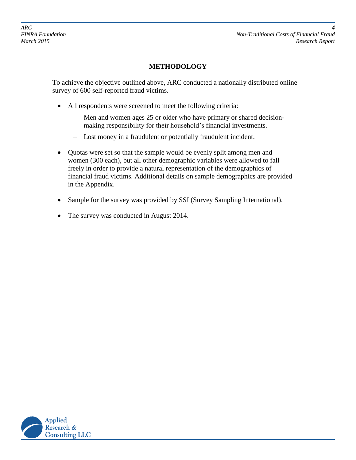*FINRA Foundation Non-Traditional Costs of Financial Fraud March 2015 Research Report*

## **METHODOLOGY**

To achieve the objective outlined above, ARC conducted a nationally distributed online survey of 600 self-reported fraud victims.

- All respondents were screened to meet the following criteria:
	- Men and women ages 25 or older who have primary or shared decisionmaking responsibility for their household's financial investments.
	- Lost money in a fraudulent or potentially fraudulent incident.
- Quotas were set so that the sample would be evenly split among men and women (300 each), but all other demographic variables were allowed to fall freely in order to provide a natural representation of the demographics of financial fraud victims. Additional details on sample demographics are provided in the Appendix.
- Sample for the survey was provided by SSI (Survey Sampling International).
- The survey was conducted in August 2014.

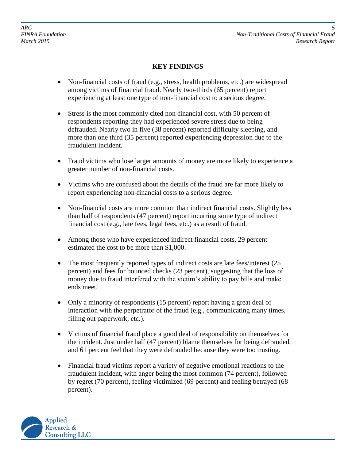*ARC 5*

*FINRA Foundation Non-Traditional Costs of Financial Fraud March 2015 Research Report*

#### **KEY FINDINGS**

- Non-financial costs of fraud (e.g., stress, health problems, etc.) are widespread among victims of financial fraud. Nearly two-thirds (65 percent) report experiencing at least one type of non-financial cost to a serious degree.
- Stress is the most commonly cited non-financial cost, with 50 percent of respondents reporting they had experienced severe stress due to being defrauded. Nearly two in five (38 percent) reported difficulty sleeping, and more than one third (35 percent) reported experiencing depression due to the fraudulent incident.
- Fraud victims who lose larger amounts of money are more likely to experience a greater number of non-financial costs.
- Victims who are confused about the details of the fraud are far more likely to report experiencing non-financial costs to a serious degree.
- Non-financial costs are more common than indirect financial costs. Slightly less than half of respondents (47 percent) report incurring some type of indirect financial cost (e.g., late fees, legal fees, etc.) as a result of fraud.
- Among those who have experienced indirect financial costs, 29 percent estimated the cost to be more than \$1,000.
- The most frequently reported types of indirect costs are late fees/interest (25) percent) and fees for bounced checks (23 percent), suggesting that the loss of money due to fraud interfered with the victim's ability to pay bills and make ends meet.
- Only a minority of respondents (15 percent) report having a great deal of interaction with the perpetrator of the fraud (e.g., communicating many times, filling out paperwork, etc.).
- Victims of financial fraud place a good deal of responsibility on themselves for the incident. Just under half (47 percent) blame themselves for being defrauded, and 61 percent feel that they were defrauded because they were too trusting.
- Financial fraud victims report a variety of negative emotional reactions to the fraudulent incident, with anger being the most common (74 percent), followed by regret (70 percent), feeling victimized (69 percent) and feeling betrayed (68 percent).

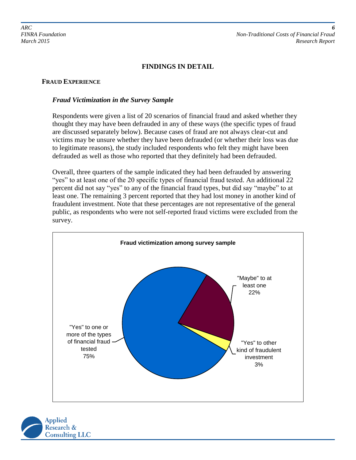#### **FINDINGS IN DETAIL**

#### **FRAUD EXPERIENCE**

#### *Fraud Victimization in the Survey Sample*

Respondents were given a list of 20 scenarios of financial fraud and asked whether they thought they may have been defrauded in any of these ways (the specific types of fraud are discussed separately below). Because cases of fraud are not always clear-cut and victims may be unsure whether they have been defrauded (or whether their loss was due to legitimate reasons), the study included respondents who felt they might have been defrauded as well as those who reported that they definitely had been defrauded.

Overall, three quarters of the sample indicated they had been defrauded by answering "yes" to at least one of the 20 specific types of financial fraud tested. An additional 22 percent did not say "yes" to any of the financial fraud types, but did say "maybe" to at least one. The remaining 3 percent reported that they had lost money in another kind of fraudulent investment. Note that these percentages are not representative of the general public, as respondents who were not self-reported fraud victims were excluded from the survey.



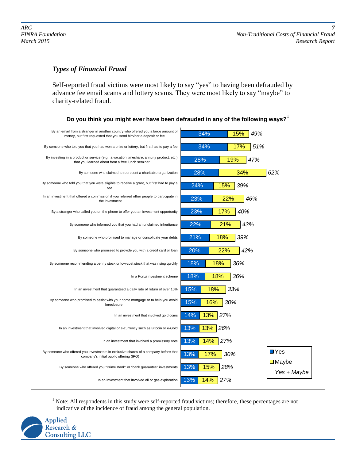## *Types of Financial Fraud*

Self-reported fraud victims were most likely to say "yes" to having been defrauded by advance fee email scams and lottery scams. They were most likely to say "maybe" to charity-related fraud.

| Do you think you might ever have been defrauded in any of the following ways? $^{\rm l}$                                                              |                                                     |
|-------------------------------------------------------------------------------------------------------------------------------------------------------|-----------------------------------------------------|
| By an email from a stranger in another country who offered you a large amount of<br>money, but first requested that you send him/her a deposit or fee | 34%<br>49%<br>15%                                   |
| By someone who told you that you had won a prize or lottery, but first had to pay a fee                                                               | 34%<br>17%<br>51%                                   |
| By investing in a product or service (e.g., a vacation timeshare, annuity product, etc.)<br>that you learned about from a free lunch seminar          | 47%<br>28%<br>19%                                   |
| By someone who claimed to represent a charitable organization                                                                                         | 28%<br>34%<br>62%                                   |
| By someone who told you that you were eligible to receive a grant, but first had to pay a<br>fee                                                      | 24%<br>15%<br>39%                                   |
| In an investment that offered a commission if you referred other people to participate in<br>the investment                                           | 23%<br>22%<br>46%                                   |
| By a stranger who called you on the phone to offer you an investment opportunity                                                                      | 23%<br>17%<br>40%                                   |
| By someone who informed you that you had an unclaimed inheritance                                                                                     | 22%<br>21%<br>43%                                   |
| By someone who promised to manage or consolidate your debts                                                                                           | 21%<br>39%<br>18%                                   |
| By someone who promised to provide you with a credit card or loan                                                                                     | 20%<br>42%<br>22%                                   |
| By someone recommending a penny stock or low-cost stock that was rising quickly                                                                       | 18%<br>18%<br>36%                                   |
| In a Ponzi investment scheme                                                                                                                          | 18%<br>18%<br>36%                                   |
| In an investment that guaranteed a daily rate of return of over 10%                                                                                   | 15%<br>33%<br>18%                                   |
| By someone who promised to assist with your home mortgage or to help you avoid<br>foreclosure                                                         | 15%<br>16%<br>30%                                   |
| In an investment that involved gold coins                                                                                                             | 13%<br>14%<br>27%                                   |
| In an investment that involved digital or e-currency such as Bitcoin or e-Gold                                                                        | 13%<br>13%<br>26%                                   |
| In an investment that involved a promissory note                                                                                                      | 13%<br>14%<br>27%                                   |
| By someone who offered you investments in exclusive shares of a company before that<br>company's initial public offering (IPO)                        | $\blacksquare$ Yes<br>13%<br>17%<br>30%             |
| By someone who offered you "Prime Bank" or "bank guarantee" investments                                                                               | $\square$ Maybe<br>13%<br>15%<br>28%<br>Yes + Maybe |
| In an investment that involved oil or gas exploration                                                                                                 | 13%<br>14%<br>27%                                   |

 $\overline{a}$  $<sup>1</sup>$  Note: All respondents in this study were self-reported fraud victims; therefore, these percentages are not</sup> indicative of the incidence of fraud among the general population.

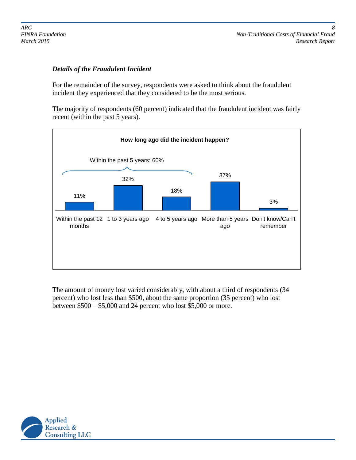#### *Details of the Fraudulent Incident*

For the remainder of the survey, respondents were asked to think about the fraudulent incident they experienced that they considered to be the most serious.

The majority of respondents (60 percent) indicated that the fraudulent incident was fairly recent (within the past 5 years).



The amount of money lost varied considerably, with about a third of respondents (34 percent) who lost less than \$500, about the same proportion (35 percent) who lost between \$500 – \$5,000 and 24 percent who lost \$5,000 or more.

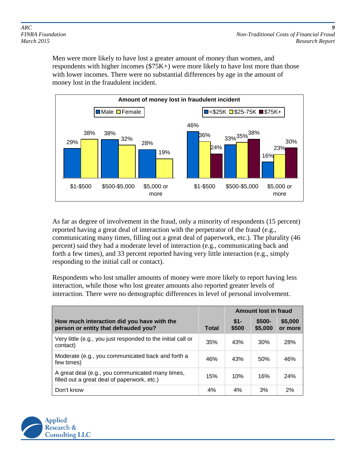Men were more likely to have lost a greater amount of money than women, and respondents with higher incomes (\$75K+) were more likely to have lost more than those with lower incomes. There were no substantial differences by age in the amount of money lost in the fraudulent incident.



As far as degree of involvement in the fraud, only a minority of respondents (15 percent) reported having a great deal of interaction with the perpetrator of the fraud (e.g., communicating many times, filling out a great deal of paperwork, etc.). The plurality (46 percent) said they had a moderate level of interaction (e.g., communicating back and forth a few times), and 33 percent reported having very little interaction (e.g., simply responding to the initial call or contact).

Respondents who lost smaller amounts of money were more likely to report having less interaction, while those who lost greater amounts also reported greater levels of interaction. There were no demographic differences in level of personal involvement.

|                                                                                                 |              | <b>Amount lost in fraud</b> |                    |                    |
|-------------------------------------------------------------------------------------------------|--------------|-----------------------------|--------------------|--------------------|
| How much interaction did you have with the<br>person or entity that defrauded you?              | <b>Total</b> | $$1-$<br>\$500              | $$500-$<br>\$5,000 | \$5,000<br>or more |
| Very little (e.g., you just responded to the initial call or<br>contact)                        | 35%          | 43%                         | 30%                | 28%                |
| Moderate (e.g., you communicated back and forth a<br>few times)                                 | 46%          | 43%                         | 50%                | 46%                |
| A great deal (e.g., you communicated many times,<br>filled out a great deal of paperwork, etc.) | 15%          | 10%                         | 16%                | 24%                |
| Don't know                                                                                      | 4%           | 4%                          | 3%                 | 2%                 |

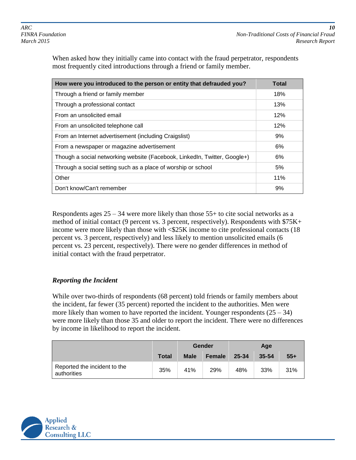When asked how they initially came into contact with the fraud perpetrator, respondents most frequently cited introductions through a friend or family member.

| How were you introduced to the person or entity that defrauded you?       | Total |
|---------------------------------------------------------------------------|-------|
| Through a friend or family member                                         | 18%   |
| Through a professional contact                                            | 13%   |
| From an unsolicited email                                                 | 12%   |
| From an unsolicited telephone call                                        | 12%   |
| From an Internet advertisement (including Craigslist)                     | 9%    |
| From a newspaper or magazine advertisement                                | 6%    |
| Though a social networking website (Facebook, Linkedln, Twitter, Google+) | 6%    |
| Through a social setting such as a place of worship or school             | 5%    |
| Other                                                                     | 11%   |
| Don't know/Can't remember                                                 | 9%    |

Respondents ages  $25 - 34$  were more likely than those  $55+$  to cite social networks as a method of initial contact (9 percent vs. 3 percent, respectively). Respondents with \$75K+ income were more likely than those with <\$25K income to cite professional contacts (18 percent vs. 3 percent, respectively) and less likely to mention unsolicited emails (6 percent vs. 23 percent, respectively). There were no gender differences in method of initial contact with the fraud perpetrator.

## *Reporting the Incident*

While over two-thirds of respondents (68 percent) told friends or family members about the incident, far fewer (35 percent) reported the incident to the authorities. Men were more likely than women to have reported the incident. Younger respondents  $(25 - 34)$ were more likely than those 35 and older to report the incident. There were no differences by income in likelihood to report the incident.

|                                             |       | Gender      |        |       | Age       |       |
|---------------------------------------------|-------|-------------|--------|-------|-----------|-------|
|                                             | Total | <b>Male</b> | Female | 25-34 | $35 - 54$ | $55+$ |
| Reported the incident to the<br>authorities | 35%   | 41%         | 29%    | 48%   | 33%       | 31%   |

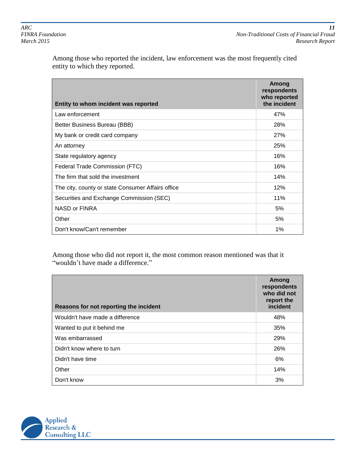Among those who reported the incident, law enforcement was the most frequently cited entity to which they reported.

| Entity to whom incident was reported              | Among<br>respondents<br>who reported<br>the incident |
|---------------------------------------------------|------------------------------------------------------|
| Law enforcement                                   | 47%                                                  |
| Better Business Bureau (BBB)                      | 28%                                                  |
| My bank or credit card company                    | <b>27%</b>                                           |
| An attorney                                       | 25%                                                  |
| State regulatory agency                           | 16%                                                  |
| Federal Trade Commission (FTC)                    | 16%                                                  |
| The firm that sold the investment                 | 14%                                                  |
| The city, county or state Consumer Affairs office | 12%                                                  |
| Securities and Exchange Commission (SEC)          | 11%                                                  |
| NASD or FINRA                                     | 5%                                                   |
| Other                                             | 5%                                                   |
| Don't know/Can't remember                         | 1%                                                   |

Among those who did not report it, the most common reason mentioned was that it "wouldn't have made a difference."

| Reasons for not reporting the incident | Among<br>respondents<br>who did not<br>report the<br>incident |
|----------------------------------------|---------------------------------------------------------------|
| Wouldn't have made a difference        | 48%                                                           |
| Wanted to put it behind me             | 35%                                                           |
| Was embarrassed                        | 29%                                                           |
| Didn't know where to turn              | 26%                                                           |
| Didn't have time                       | 6%                                                            |
| Other                                  | 14%                                                           |
| Don't know                             | 3%                                                            |

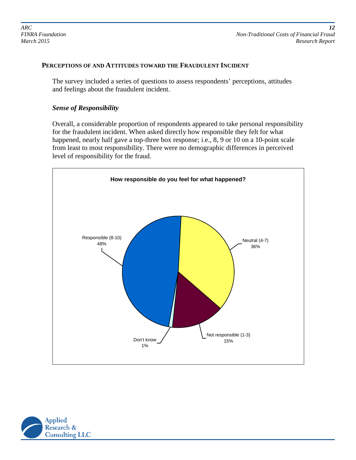#### **PERCEPTIONS OF AND ATTITUDES TOWARD THE FRAUDULENT INCIDENT**

The survey included a series of questions to assess respondents' perceptions, attitudes and feelings about the fraudulent incident.

#### *Sense of Responsibility*

Overall, a considerable proportion of respondents appeared to take personal responsibility for the fraudulent incident. When asked directly how responsible they felt for what happened, nearly half gave a top-three box response; i.e., 8, 9 or 10 on a 10-point scale from least to most responsibility. There were no demographic differences in perceived level of responsibility for the fraud.



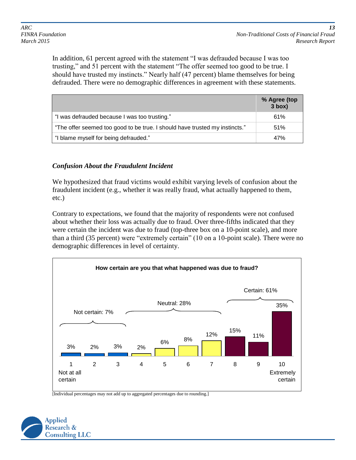In addition, 61 percent agreed with the statement "I was defrauded because I was too trusting," and 51 percent with the statement "The offer seemed too good to be true. I should have trusted my instincts." Nearly half (47 percent) blame themselves for being defrauded. There were no demographic differences in agreement with these statements.

|                                                                             | % Agree (top<br>$3$ box) |
|-----------------------------------------------------------------------------|--------------------------|
| "I was defrauded because I was too trusting."                               | 61%                      |
| "The offer seemed too good to be true. I should have trusted my instincts." | 51%                      |
| "I blame myself for being defrauded."                                       | 47%                      |

## *Confusion About the Fraudulent Incident*

We hypothesized that fraud victims would exhibit varying levels of confusion about the fraudulent incident (e.g., whether it was really fraud, what actually happened to them, etc.)

Contrary to expectations, we found that the majority of respondents were not confused about whether their loss was actually due to fraud. Over three-fifths indicated that they were certain the incident was due to fraud (top-three box on a 10-point scale), and more than a third (35 percent) were "extremely certain" (10 on a 10-point scale). There were no demographic differences in level of certainty.



[Individual percentages may not add up to aggregated percentages due to rounding.]

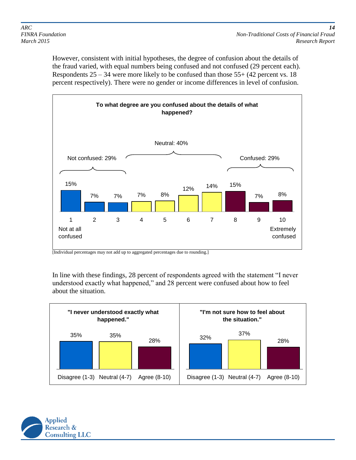However, consistent with initial hypotheses, the degree of confusion about the details of the fraud varied, with equal numbers being confused and not confused (29 percent each). Respondents  $25 - 34$  were more likely to be confused than those  $55+ (42)$  percent vs. 18 percent respectively). There were no gender or income differences in level of confusion.



[Individual percentages may not add up to aggregated percentages due to rounding.]

In line with these findings, 28 percent of respondents agreed with the statement "I never understood exactly what happened," and 28 percent were confused about how to feel about the situation.



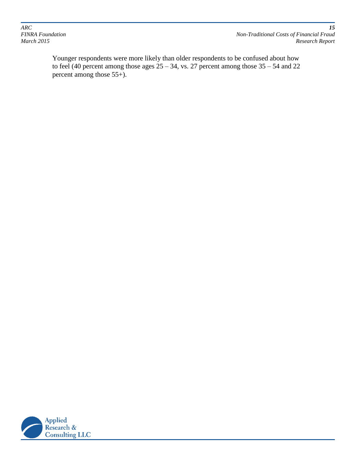*ARC 15*

*FINRA Foundation Non-Traditional Costs of Financial Fraud March 2015 Research Report*

Younger respondents were more likely than older respondents to be confused about how to feel (40 percent among those ages  $25 - 34$ , vs. 27 percent among those  $35 - 54$  and  $22$ percent among those 55+).

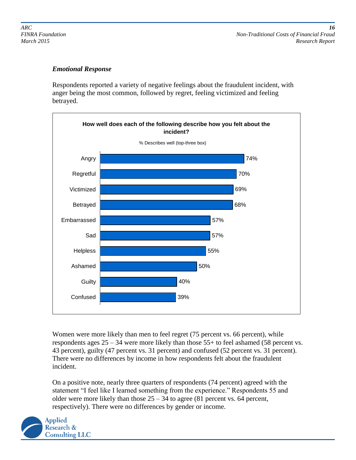*ARC 16 FINRA Foundation Non-Traditional Costs of Financial Fraud March 2015 Research Report*

#### *Emotional Response*

Respondents reported a variety of negative feelings about the fraudulent incident, with anger being the most common, followed by regret, feeling victimized and feeling betrayed.



Women were more likely than men to feel regret (75 percent vs. 66 percent), while respondents ages 25 – 34 were more likely than those 55+ to feel ashamed (58 percent vs. 43 percent), guilty (47 percent vs. 31 percent) and confused (52 percent vs. 31 percent). There were no differences by income in how respondents felt about the fraudulent incident.

On a positive note, nearly three quarters of respondents (74 percent) agreed with the statement "I feel like I learned something from the experience." Respondents 55 and older were more likely than those  $25 - 34$  to agree (81 percent vs. 64 percent, respectively). There were no differences by gender or income.

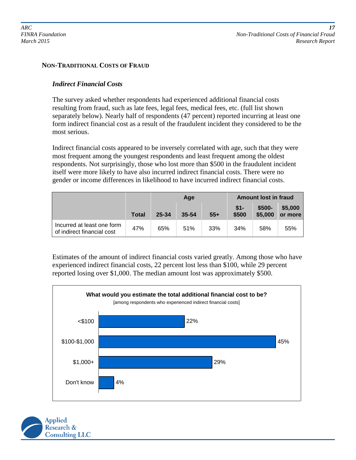#### **NON-TRADITIONAL COSTS OF FRAUD**

#### *Indirect Financial Costs*

The survey asked whether respondents had experienced additional financial costs resulting from fraud, such as late fees, legal fees, medical fees, etc. (full list shown separately below). Nearly half of respondents (47 percent) reported incurring at least one form indirect financial cost as a result of the fraudulent incident they considered to be the most serious.

Indirect financial costs appeared to be inversely correlated with age, such that they were most frequent among the youngest respondents and least frequent among the oldest respondents. Not surprisingly, those who lost more than \$500 in the fraudulent incident itself were more likely to have also incurred indirect financial costs. There were no gender or income differences in likelihood to have incurred indirect financial costs.

|                                                          |       | Age   |           |       | <b>Amount lost in fraud</b> |                    |                    |
|----------------------------------------------------------|-------|-------|-----------|-------|-----------------------------|--------------------|--------------------|
|                                                          | Total | 25-34 | $35 - 54$ | $55+$ | $$1 -$<br>\$500             | $$500-$<br>\$5,000 | \$5,000<br>or more |
| Incurred at least one form<br>of indirect financial cost | 47%   | 65%   | 51%       | 33%   | 34%                         | 58%                | 55%                |

Estimates of the amount of indirect financial costs varied greatly. Among those who have experienced indirect financial costs, 22 percent lost less than \$100, while 29 percent reported losing over \$1,000. The median amount lost was approximately \$500.



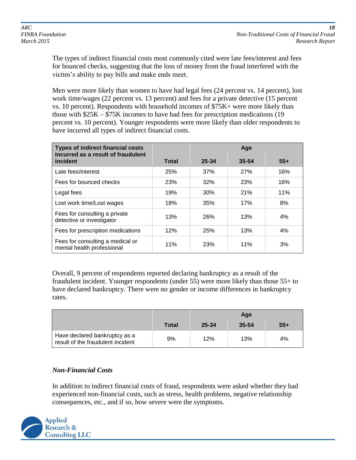The types of indirect financial costs most commonly cited were late fees/interest and fees for bounced checks, suggesting that the loss of money from the fraud interfered with the victim's ability to pay bills and make ends meet.

Men were more likely than women to have had legal fees (24 percent vs. 14 percent), lost work time/wages (22 percent vs. 13 percent) and fees for a private detective (15 percent vs. 10 percent). Respondents with household incomes of \$75K+ were more likely than those with \$25K – \$75K incomes to have had fees for prescription medications (19 percent vs. 10 percent). Younger respondents were more likely than older respondents to have incurred all types of indirect financial costs.

| <b>Types of indirect financial costs</b><br>incurred as a result of fraudulent |              | Age   |            |       |
|--------------------------------------------------------------------------------|--------------|-------|------------|-------|
| incident                                                                       | <b>Total</b> | 25-34 | 35-54      | $55+$ |
| Late fees/interest                                                             | 25%          | 37%   | <b>27%</b> | 16%   |
| Fees for bounced checks                                                        | 23%          | 32%   | 23%        | 16%   |
| Legal fees                                                                     | 19%          | 30%   | 21%        | 11%   |
| Lost work time/Lost wages                                                      | 18%          | 35%   | 17%        | 8%    |
| Fees for consulting a private<br>detective or investigator                     | 13%          | 26%   | 13%        | 4%    |
| Fees for prescription medications                                              | 12%          | 25%   | 13%        | 4%    |
| Fees for consulting a medical or<br>mental health professional                 | 11%          | 23%   | 11%        | 3%    |

Overall, 9 percent of respondents reported declaring bankruptcy as a result of the fraudulent incident. Younger respondents (under 55) were more likely than those 55+ to have declared bankruptcy. There were no gender or income differences in bankruptcy rates.

|                                                                    |       | Age   |           |       |
|--------------------------------------------------------------------|-------|-------|-----------|-------|
|                                                                    | Total | 25-34 | $35 - 54$ | $55+$ |
| Have declared bankruptcy as a<br>result of the fraudulent incident | 9%    | 12%   | 13%       | 4%    |

## *Non-Financial Costs*

In addition to indirect financial costs of fraud, respondents were asked whether they had experienced non-financial costs, such as stress, health problems, negative relationship consequences, etc., and if so, how severe were the symptoms.

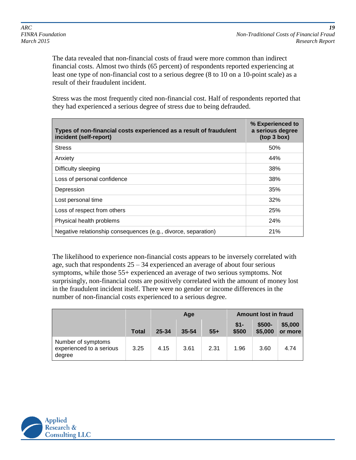*FINRA Foundation Non-Traditional Costs of Financial Fraud March 2015 Research Report*

The data revealed that non-financial costs of fraud were more common than indirect financial costs. Almost two thirds (65 percent) of respondents reported experiencing at least one type of non-financial cost to a serious degree (8 to 10 on a 10-point scale) as a result of their fraudulent incident.

Stress was the most frequently cited non-financial cost. Half of respondents reported that they had experienced a serious degree of stress due to being defrauded.

| Types of non-financial costs experienced as a result of fraudulent<br>incident (self-report) | % Experienced to<br>a serious degree<br>(top 3 box) |
|----------------------------------------------------------------------------------------------|-----------------------------------------------------|
| <b>Stress</b>                                                                                | 50%                                                 |
| Anxiety                                                                                      | 44%                                                 |
| Difficulty sleeping                                                                          | 38%                                                 |
| Loss of personal confidence                                                                  | 38%                                                 |
| Depression                                                                                   | 35%                                                 |
| Lost personal time                                                                           | 32%                                                 |
| Loss of respect from others                                                                  | <b>25%</b>                                          |
| Physical health problems                                                                     | 24%                                                 |
| Negative relationship consequences (e.g., divorce, separation)                               | 21%                                                 |

The likelihood to experience non-financial costs appears to be inversely correlated with age, such that respondents 25 – 34 experienced an average of about four serious symptoms, while those 55+ experienced an average of two serious symptoms. Not surprisingly, non-financial costs are positively correlated with the amount of money lost in the fraudulent incident itself. There were no gender or income differences in the number of non-financial costs experienced to a serious degree.

|                                                          |              | Age   |       |       | <b>Amount lost in fraud</b> |                    |                    |
|----------------------------------------------------------|--------------|-------|-------|-------|-----------------------------|--------------------|--------------------|
|                                                          | <b>Total</b> | 25-34 | 35-54 | $55+$ | $$1-$<br>\$500              | $$500-$<br>\$5,000 | \$5,000<br>or more |
| Number of symptoms<br>experienced to a serious<br>degree | 3.25         | 4.15  | 3.61  | 2.31  | 1.96                        | 3.60               | 4.74               |

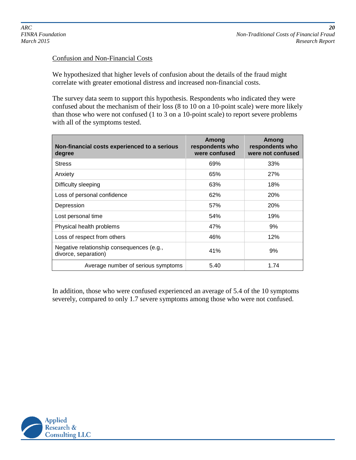#### Confusion and Non-Financial Costs

We hypothesized that higher levels of confusion about the details of the fraud might correlate with greater emotional distress and increased non-financial costs.

The survey data seem to support this hypothesis. Respondents who indicated they were confused about the mechanism of their loss (8 to 10 on a 10-point scale) were more likely than those who were not confused (1 to 3 on a 10-point scale) to report severe problems with all of the symptoms tested.

| Non-financial costs experienced to a serious<br>degree            | Among<br>respondents who<br>were confused | Among<br>respondents who<br>were not confused |
|-------------------------------------------------------------------|-------------------------------------------|-----------------------------------------------|
| <b>Stress</b>                                                     | 69%                                       | 33%                                           |
| Anxiety                                                           | 65%                                       | <b>27%</b>                                    |
| Difficulty sleeping                                               | 63%                                       | 18%                                           |
| Loss of personal confidence                                       | 62%                                       | 20%                                           |
| Depression                                                        | 57%                                       | <b>20%</b>                                    |
| Lost personal time                                                | 54%                                       | 19%                                           |
| Physical health problems                                          | 47%                                       | 9%                                            |
| Loss of respect from others                                       | 46%                                       | 12%                                           |
| Negative relationship consequences (e.g.,<br>divorce, separation) | 41%                                       | 9%                                            |
| Average number of serious symptoms                                | 5.40                                      | 1.74                                          |

In addition, those who were confused experienced an average of 5.4 of the 10 symptoms severely, compared to only 1.7 severe symptoms among those who were not confused.

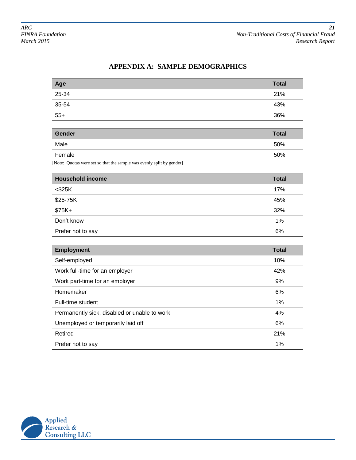## **APPENDIX A: SAMPLE DEMOGRAPHICS**

| Age   | <b>Total</b> |
|-------|--------------|
| 25-34 | 21%          |
| 35-54 | 43%          |
| $55+$ | 36%          |

| Gender | <b>Total</b> |
|--------|--------------|
| Male   | 50%          |
| Female | 50%          |

[Note: Quotas were set so that the sample was evenly split by gender]

| <b>Household income</b> | <b>Total</b> |
|-------------------------|--------------|
| $<$ \$25 $K$            | 17%          |
| \$25-75K                | 45%          |
| $$75K+$                 | 32%          |
| Don't know              | 1%           |
| Prefer not to say       | 6%           |

| <b>Employment</b>                            | <b>Total</b> |
|----------------------------------------------|--------------|
| Self-employed                                | 10%          |
| Work full-time for an employer               | 42%          |
| Work part-time for an employer               | 9%           |
| Homemaker                                    | 6%           |
| Full-time student                            | 1%           |
| Permanently sick, disabled or unable to work | 4%           |
| Unemployed or temporarily laid off           | 6%           |
| Retired                                      | 21%          |
| Prefer not to say                            | 1%           |

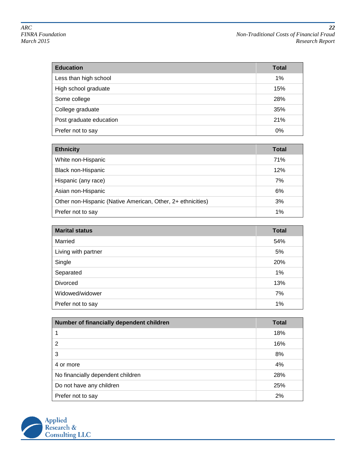| <b>Education</b>        | <b>Total</b> |
|-------------------------|--------------|
| Less than high school   | 1%           |
| High school graduate    | 15%          |
| Some college            | 28%          |
| College graduate        | 35%          |
| Post graduate education | 21%          |
| Prefer not to say       | 0%           |

| <b>Ethnicity</b>                                            | Total |
|-------------------------------------------------------------|-------|
| White non-Hispanic                                          | 71%   |
| <b>Black non-Hispanic</b>                                   | 12%   |
| Hispanic (any race)                                         | 7%    |
| Asian non-Hispanic                                          | 6%    |
| Other non-Hispanic (Native American, Other, 2+ ethnicities) | 3%    |
| Prefer not to say                                           | 1%    |

| <b>Marital status</b> | <b>Total</b> |
|-----------------------|--------------|
| Married               | 54%          |
| Living with partner   | 5%           |
| Single                | 20%          |
| Separated             | 1%           |
| <b>Divorced</b>       | 13%          |
| Widowed/widower       | 7%           |
| Prefer not to say     | 1%           |

| Number of financially dependent children | <b>Total</b> |
|------------------------------------------|--------------|
|                                          | 18%          |
| 2                                        | 16%          |
| 3                                        | 8%           |
| 4 or more                                | 4%           |
| No financially dependent children        | 28%          |
| Do not have any children                 | 25%          |
| Prefer not to say                        | 2%           |

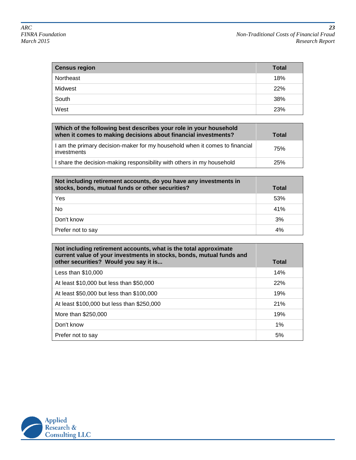| <b>Census region</b> | <b>Total</b> |
|----------------------|--------------|
| Northeast            | 18%          |
| Midwest              | 22%          |
| South                | 38%          |
| West                 | 23%          |

| Which of the following best describes your role in your household<br>when it comes to making decisions about financial investments? | Total |
|-------------------------------------------------------------------------------------------------------------------------------------|-------|
| I am the primary decision-maker for my household when it comes to financial<br>investments                                          | 75%   |
| I share the decision-making responsibility with others in my household                                                              | 25%   |

| Not including retirement accounts, do you have any investments in<br>stocks, bonds, mutual funds or other securities? | <b>Total</b> |
|-----------------------------------------------------------------------------------------------------------------------|--------------|
| Yes                                                                                                                   | 53%          |
| No                                                                                                                    | 41%          |
| Don't know                                                                                                            | 3%           |
| Prefer not to say                                                                                                     | 4%           |

| Not including retirement accounts, what is the total approximate<br>current value of your investments in stocks, bonds, mutual funds and<br>other securities? Would you say it is | Total |
|-----------------------------------------------------------------------------------------------------------------------------------------------------------------------------------|-------|
| Less than \$10,000                                                                                                                                                                | 14%   |
| At least \$10,000 but less than \$50,000                                                                                                                                          | 22%   |
| At least \$50,000 but less than \$100,000                                                                                                                                         | 19%   |
| At least \$100,000 but less than \$250,000                                                                                                                                        | 21%   |
| More than \$250,000                                                                                                                                                               | 19%   |
| Don't know                                                                                                                                                                        | $1\%$ |
| Prefer not to say                                                                                                                                                                 | 5%    |

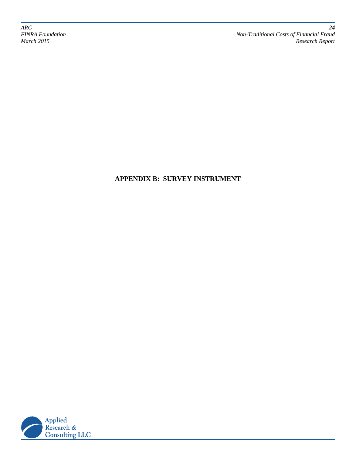*ARC 24*

*FINRA Foundation Non-Traditional Costs of Financial Fraud March 2015 Research Report*

## **APPENDIX B: SURVEY INSTRUMENT**

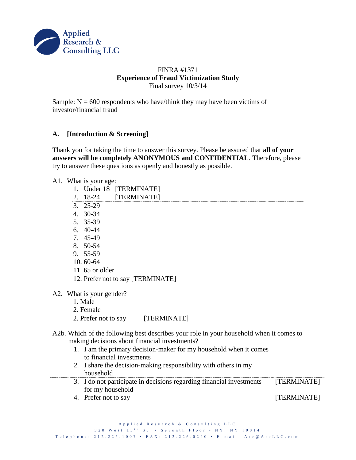

#### FINRA #1371 **Experience of Fraud Victimization Study** Final survey 10/3/14

Sample:  $N = 600$  respondents who have/think they may have been victims of investor/financial fraud

## **A. [Introduction & Screening]**

Thank you for taking the time to answer this survey. Please be assured that **all of your answers will be completely ANONYMOUS and CONFIDENTIAL**. Therefore, please try to answer these questions as openly and honestly as possible.

A1. What is your age:

 $A2.$ 

----------------

|  | 1. Under 18 [TERMINATE]<br>2. 18-24 [TERMINATE] |                                                                                         |  |  |             |  |
|--|-------------------------------------------------|-----------------------------------------------------------------------------------------|--|--|-------------|--|
|  |                                                 |                                                                                         |  |  |             |  |
|  | $3.25-29$                                       |                                                                                         |  |  |             |  |
|  | 4. 30-34                                        |                                                                                         |  |  |             |  |
|  | 5. 35-39                                        |                                                                                         |  |  |             |  |
|  | $6.40-44$                                       |                                                                                         |  |  |             |  |
|  | 7. 45-49                                        |                                                                                         |  |  |             |  |
|  | 8. 50-54                                        |                                                                                         |  |  |             |  |
|  | 9. 55-59                                        |                                                                                         |  |  |             |  |
|  | 10.60-64                                        |                                                                                         |  |  |             |  |
|  | 11.65 or older                                  |                                                                                         |  |  |             |  |
|  |                                                 | 12. Prefer not to say [TERMINATE]                                                       |  |  |             |  |
|  | A2. What is your gender?                        |                                                                                         |  |  |             |  |
|  | 1. Male                                         |                                                                                         |  |  |             |  |
|  | 2. Female                                       |                                                                                         |  |  |             |  |
|  |                                                 | 2. Prefer not to say [TERMINATE]                                                        |  |  |             |  |
|  |                                                 | A2b. Which of the following best describes your role in your household when it comes to |  |  |             |  |
|  |                                                 | making decisions about financial investments?                                           |  |  |             |  |
|  |                                                 | 1. I am the primary decision-maker for my household when it comes                       |  |  |             |  |
|  | to financial investments                        |                                                                                         |  |  |             |  |
|  |                                                 | 2. I share the decision-making responsibility with others in my                         |  |  |             |  |
|  | household                                       |                                                                                         |  |  |             |  |
|  |                                                 | 3. I do not participate in decisions regarding financial investments                    |  |  | [TERMINATE] |  |
|  | for my household                                |                                                                                         |  |  |             |  |
|  | 4. Prefer not to say                            |                                                                                         |  |  | [TERMINATE] |  |
|  |                                                 |                                                                                         |  |  |             |  |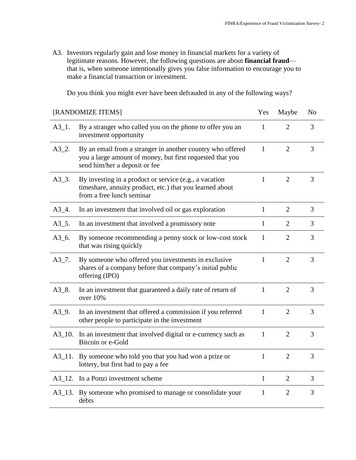A3. Investors regularly gain and lose money in financial markets for a variety of legitimate reasons. However, the following questions are about **financial fraud** that is, when someone intentionally gives you false information to encourage you to make a financial transaction or investment.

Do you think you might ever have been defrauded in any of the following ways?

|              | [RANDOMIZE ITEMS]                                                                                                                                        | Yes          | Maybe          | No |
|--------------|----------------------------------------------------------------------------------------------------------------------------------------------------------|--------------|----------------|----|
| $A3_1$ .     | By a stranger who called you on the phone to offer you an<br>investment opportunity                                                                      | $\mathbf{1}$ | $\overline{2}$ | 3  |
| $A3_{-2}$ .  | By an email from a stranger in another country who offered<br>you a large amount of money, but first requested that you<br>send him/her a deposit or fee | $\mathbf{1}$ | 2              | 3  |
| $A3_3.$      | By investing in a product or service (e.g., a vacation<br>timeshare, annuity product, etc.) that you learned about<br>from a free lunch seminar          | $\mathbf{1}$ | $\overline{2}$ | 3  |
| $A3_4.$      | In an investment that involved oil or gas exploration                                                                                                    | $\mathbf{1}$ | 2              | 3  |
| $A3_{-}5.$   | In an investment that involved a promissory note                                                                                                         | 1            | 2              | 3  |
| $A3_6$ .     | By someone recommending a penny stock or low-cost stock<br>that was rising quickly                                                                       | 1            | $\overline{2}$ | 3  |
| $A3_7$ .     | By someone who offered you investments in exclusive<br>shares of a company before that company's initial public<br>offering (IPO)                        | $\mathbf{1}$ | 2              | 3  |
| $A3_8$ .     | In an investment that guaranteed a daily rate of return of<br>over 10%                                                                                   | $\mathbf{1}$ | 2              | 3  |
| $A3_9$ .     | In an investment that offered a commission if you referred<br>other people to participate in the investment                                              | 1            | $\overline{2}$ | 3  |
| $A3_{-10}$ . | In an investment that involved digital or e-currency such as<br>Bitcoin or e-Gold                                                                        | $\mathbf{1}$ | $\overline{2}$ | 3  |
|              | A3_11. By someone who told you that you had won a prize or<br>lottery, but first had to pay a fee                                                        | $\mathbf{1}$ | $\overline{2}$ | 3  |
|              | A3_12. In a Ponzi investment scheme                                                                                                                      | $\mathbf{1}$ | $\overline{2}$ | 3  |
|              | A3_13. By someone who promised to manage or consolidate your<br>debts                                                                                    | 1            | $\overline{2}$ | 3  |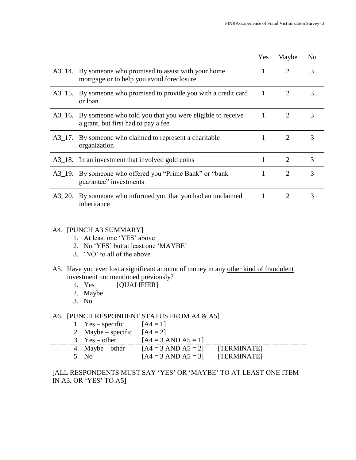|        |                                                                                                         | <b>Yes</b>   | Maybe                       | N <sub>0</sub> |
|--------|---------------------------------------------------------------------------------------------------------|--------------|-----------------------------|----------------|
|        | A3_14. By someone who promised to assist with your home<br>mortgage or to help you avoid foreclosure    |              | 2                           | 3              |
|        | A3_15. By someone who promised to provide you with a credit card<br>or loan                             | 1            |                             | 3              |
|        | A3_16. By someone who told you that you were eligible to receive<br>a grant, but first had to pay a fee | $\mathbf{1}$ | 2                           | 3              |
|        | A3_17. By someone who claimed to represent a charitable<br>organization                                 |              | $\overline{2}$              | 3              |
|        | A3_18. In an investment that involved gold coins                                                        |              | $\overline{2}$              | $\mathcal{R}$  |
|        | A3_19. By someone who offered you "Prime Bank" or "bank"<br>guarantee" investments                      | 1            | $\mathcal{D}_{\mathcal{L}}$ | 3              |
| A3 20. | By someone who informed you that you had an unclaimed<br>inheritance                                    | 1            |                             | 3              |

## A4. [PUNCH A3 SUMMARY]

- 1. At least one 'YES' above
- 2. No 'YES' but at least one 'MAYBE'
- 3. 'NO' to all of the above
- A5. Have you ever lost a significant amount of money in any other kind of fraudulent investment not mentioned previously?<br>1. Yes [QUALIFIER]
	- [QUALIFIER]
	- 2. Maybe
	- 3. No

#### A6. [PUNCH RESPONDENT STATUS FROM A4 & A5]

|  | 1. $Yes - specific$ | $[A4 = 1]$                     |             |
|--|---------------------|--------------------------------|-------------|
|  | 2. Maybe – specific | $[A4 = 2]$                     |             |
|  | 3. $Yes - other$    | $[A4 = 3 \text{ AND } A5 = 1]$ |             |
|  | 4. Maybe $-$ other  | $[A4 = 3 \text{ AND } A5 = 2]$ | [TERMINATE] |
|  | 5. No.              | $[A4 = 3 \text{ AND } A5 = 3]$ | [TERMINATE] |

[ALL RESPONDENTS MUST SAY 'YES' OR 'MAYBE' TO AT LEAST ONE ITEM IN A3, OR 'YES' TO A5]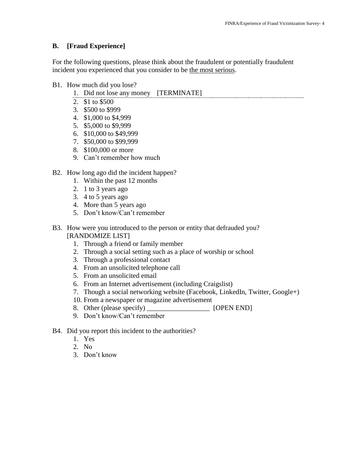## **B. [Fraud Experience]**

For the following questions, please think about the fraudulent or potentially fraudulent incident you experienced that you consider to be the most serious.

- B1. How much did you lose?
	- 1. Did not lose any money [TERMINATE]
	- 2. \$1 to \$500
	- 3. \$500 to \$999
	- 4. \$1,000 to \$4,999
	- 5. \$5,000 to \$9,999
	- 6. \$10,000 to \$49,999
	- 7. \$50,000 to \$99,999
	- 8. \$100,000 or more
	- 9. Can't remember how much
- B2. How long ago did the incident happen?
	- 1. Within the past 12 months
	- 2. 1 to 3 years ago
	- 3. 4 to 5 years ago
	- 4. More than 5 years ago
	- 5. Don't know/Can't remember
- B3. How were you introduced to the person or entity that defrauded you? [RANDOMIZE LIST]
	- 1. Through a friend or family member
	- 2. Through a social setting such as a place of worship or school
	- 3. Through a professional contact
	- 4. From an unsolicited telephone call
	- 5. From an unsolicited email
	- 6. From an Internet advertisement (including Craigslist)
	- 7. Though a social networking website (Facebook, LinkedIn, Twitter, Google+)
	- 10. From a newspaper or magazine advertisement
	- 8. Other (please specify) [OPEN END]
	- 9. Don't know/Can't remember
- B4. Did you report this incident to the authorities?
	- 1. Yes
	- 2. No
	- 3. Don't know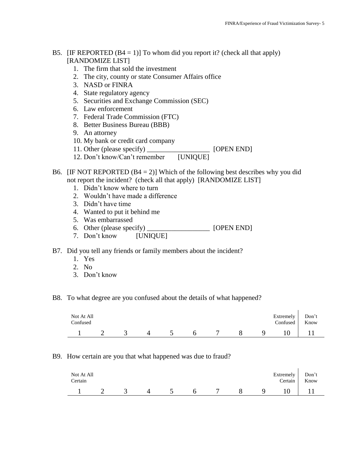#### B5. [IF REPORTED  $(B4 = 1)$ ] To whom did you report it? (check all that apply) [RANDOMIZE LIST]

- 1. The firm that sold the investment
- 2. The city, county or state Consumer Affairs office
- 3. NASD or FINRA
- 4. State regulatory agency
- 5. Securities and Exchange Commission (SEC)
- 6. Law enforcement
- 7. Federal Trade Commission (FTC)
- 8. Better Business Bureau (BBB)
- 9. An attorney
- 10. My bank or credit card company
- 11. Other (please specify) \_\_\_\_\_\_\_\_\_\_\_\_\_\_\_\_\_\_ [OPEN END]
- 12. Don't know/Can't remember [UNIQUE]
- B6. [IF NOT REPORTED  $(B4 = 2)$ ] Which of the following best describes why you did not report the incident? (check all that apply) [RANDOMIZE LIST]
	- 1. Didn't know where to turn
	- 2. Wouldn't have made a difference
	- 3. Didn't have time
	- 4. Wanted to put it behind me
	- 5. Was embarrassed
	- 6. Other (please specify) \_\_\_\_\_\_\_\_\_\_\_\_\_\_\_\_\_\_ [OPEN END]
	- 7. Don't know [UNIQUE]
- B7. Did you tell any friends or family members about the incident?
	- 1. Yes
	- 2. No
	- 3. Don't know
- B8. To what degree are you confused about the details of what happened?

| Not At All<br>Confused |  |  |   |  | Extremely<br>Confused | Don't<br>Know |
|------------------------|--|--|---|--|-----------------------|---------------|
|                        |  |  | h |  |                       |               |

#### B9. How certain are you that what happened was due to fraud?

| Not At All<br>Certain |  |       |     |   |   | Extremely Don't<br>Certain | Know |
|-----------------------|--|-------|-----|---|---|----------------------------|------|
| $\sim$ 1              |  | 3 4 5 | 6 7 | 8 | 9 | $10 \quad   \quad 11$      |      |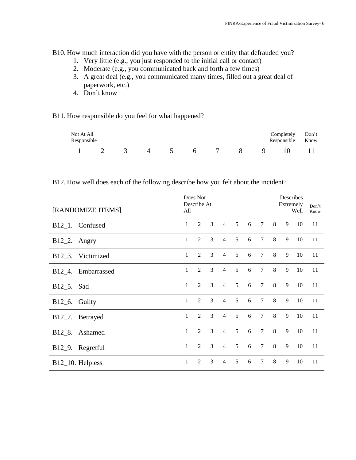B10. How much interaction did you have with the person or entity that defrauded you?

- 1. Very little (e.g., you just responded to the initial call or contact)
- 2. Moderate (e.g., you communicated back and forth a few times)
- 3. A great deal (e.g., you communicated many times, filled out a great deal of paperwork, etc.)
- 4. Don't know

#### B11. How responsible do you feel for what happened?

| Not At All<br>Responsible |  |  |  |  | Completely<br>Responsible | Don't<br>Know |
|---------------------------|--|--|--|--|---------------------------|---------------|
|                           |  |  |  |  |                           |               |

#### B12. How well does each of the following describe how you felt about the incident?

| [RANDOMIZE ITEMS]             | Does Not<br>Describe At<br>All |   |   |                |                 |   |                 | Describes<br>Extremely<br>Don't<br>Well<br>Know |   |    |    |
|-------------------------------|--------------------------------|---|---|----------------|-----------------|---|-----------------|-------------------------------------------------|---|----|----|
| B12_1. Confused               | $\mathbf{1}$                   | 2 | 3 | $\overline{4}$ | $5\overline{)}$ | 6 | $\tau$          | 8                                               | 9 | 10 | 11 |
| $B12_2$ . Angry               | $\mathbf{1}$                   | 2 | 3 | $\overline{4}$ | $\mathfrak{S}$  | 6 | $7\overline{ }$ | 8                                               | 9 | 10 | 11 |
| B12_3. Victimized             | $\mathbf{1}$                   | 2 | 3 | $\overline{4}$ | 5               | 6 | $\overline{7}$  | 8                                               | 9 | 10 | 11 |
| B12_4. Embarrassed            | $\mathbf{1}$                   | 2 | 3 | $\overline{4}$ | $\overline{5}$  | 6 | $\tau$          | 8                                               | 9 | 10 | 11 |
| B12_5. Sad                    | $\mathbf{1}$                   | 2 | 3 | $\overline{4}$ | $\mathfrak{S}$  | 6 | $\tau$          | 8                                               | 9 | 10 | 11 |
| B12_6. Guilty                 | $\mathbf{1}$                   | 2 | 3 | $\overline{4}$ | $\overline{5}$  | 6 | $\tau$          | 8                                               | 9 | 10 | 11 |
| B12_7. Betrayed               | $\mathbf{1}$                   | 2 | 3 | $\overline{4}$ | 5               | 6 | $\tau$          | 8                                               | 9 | 10 | 11 |
| B12_8. Ashamed                | $\mathbf{1}$                   | 2 | 3 | $\overline{4}$ | 5               | 6 | $\overline{7}$  | 8                                               | 9 | 10 | 11 |
| B <sub>12</sub> _9. Regretful | $\mathbf{1}$                   | 2 | 3 | $\overline{4}$ | 5               | 6 | $\overline{7}$  | 8                                               | 9 | 10 | 11 |
| B <sub>12</sub> _10. Helpless | $\mathbf{1}$                   | 2 | 3 | $\overline{4}$ | 5               | 6 | $\overline{7}$  | 8                                               | 9 | 10 | 11 |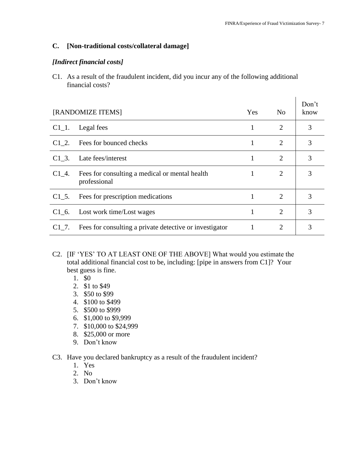#### **C. [Non-traditional costs/collateral damage]**

#### *[Indirect financial costs]*

C1. As a result of the fraudulent incident, did you incur any of the following additional financial costs?

|          | [RANDOMIZE ITEMS]                                              | Yes | N <sub>0</sub> | Don't<br>know |
|----------|----------------------------------------------------------------|-----|----------------|---------------|
| $C1_1$ . | Legal fees                                                     | 1   | 2              | 3             |
| C1 2.    | Fees for bounced checks                                        | 1   | 2              | 3             |
| C1 3.    | Late fees/interest                                             | 1   | 2              | 3             |
| $C1_4$ . | Fees for consulting a medical or mental health<br>professional | 1   | 2              | 3             |
| $C1\,5.$ | Fees for prescription medications                              | 1   | $\overline{2}$ | 3             |
| $C1$ 6.  | Lost work time/Lost wages                                      | 1   | $\overline{2}$ | 3             |
| C1 7.    | Fees for consulting a private detective or investigator        | 1   | 2              | 3             |

- C2. [IF 'YES' TO AT LEAST ONE OF THE ABOVE] What would you estimate the total additional financial cost to be, including: [pipe in answers from C1]? Your best guess is fine.
	- 1. \$0
	- 2. \$1 to \$49
	- 3. \$50 to \$99
	- 4. \$100 to \$499
	- 5. \$500 to \$999
	- 6. \$1,000 to \$9,999
	- 7. \$10,000 to \$24,999
	- 8. \$25,000 or more
	- 9. Don't know
- C3. Have you declared bankruptcy as a result of the fraudulent incident?
	- 1. Yes
	- 2. No
	- 3. Don't know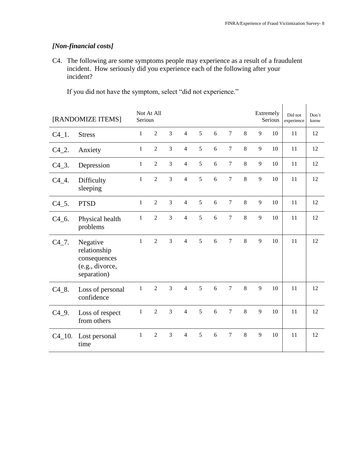## *[Non-financial costs]*

C4. The following are some symptoms people may experience as a result of a fraudulent incident. How seriously did you experience each of the following after your incident?

|                      | [RANDOMIZE ITEMS]                                                          | Serious      | Not At All     |                |                |   |   |                |         |   | Extremely<br>Serious | Did not<br>experience | Don't<br>know |
|----------------------|----------------------------------------------------------------------------|--------------|----------------|----------------|----------------|---|---|----------------|---------|---|----------------------|-----------------------|---------------|
| $C4_{1}$ .           | <b>Stress</b>                                                              | 1            | $\overline{2}$ | 3              | $\overline{4}$ | 5 | 6 | $\overline{7}$ | 8       | 9 | 10                   | 11                    | 12            |
| $C4_2$ .             | Anxiety                                                                    | $\mathbf{1}$ | $\overline{2}$ | 3              | $\overline{4}$ | 5 | 6 | $\overline{7}$ | 8       | 9 | 10                   | 11                    | 12            |
| $C4_3$ .             | Depression                                                                 | $\mathbf{1}$ | $\overline{2}$ | 3              | $\overline{4}$ | 5 | 6 | $\tau$         | 8       | 9 | 10                   | 11                    | 12            |
| $C4_4$ .             | Difficulty<br>sleeping                                                     | 1            | $\overline{2}$ | 3              | $\overline{4}$ | 5 | 6 | $\overline{7}$ | 8       | 9 | 10                   | 11                    | 12            |
| $C4\_5$ .            | <b>PTSD</b>                                                                | $\mathbf{1}$ | $\overline{2}$ | 3              | $\overline{4}$ | 5 | 6 | $\overline{7}$ | 8       | 9 | 10                   | 11                    | 12            |
| $C4_{-6}$ .          | Physical health<br>problems                                                | 1            | $\overline{2}$ | $\overline{3}$ | $\overline{4}$ | 5 | 6 | $\overline{7}$ | 8       | 9 | 10                   | 11                    | 12            |
| $C4$ <sub>-7</sub> . | Negative<br>relationship<br>consequences<br>(e.g., divorce,<br>separation) | $\mathbf{1}$ | $\overline{2}$ | 3              | $\overline{4}$ | 5 | 6 | $\overline{7}$ | 8       | 9 | 10                   | 11                    | 12            |
| $C4_{.8}$ .          | Loss of personal<br>confidence                                             | $\mathbf{1}$ | $\overline{2}$ | 3              | $\overline{4}$ | 5 | 6 | $\overline{7}$ | $\,8\,$ | 9 | 10                   | 11                    | 12            |
| $C4_9$ .             | Loss of respect<br>from others                                             | $\mathbf{1}$ | $\overline{2}$ | $\overline{3}$ | $\overline{4}$ | 5 | 6 | $\overline{7}$ | 8       | 9 | 10                   | 11                    | 12            |
|                      | C4_10. Lost personal<br>time                                               | $\mathbf{1}$ | $\overline{2}$ | $\overline{3}$ | $\overline{4}$ | 5 | 6 | $\overline{7}$ | 8       | 9 | 10                   | 11                    | 12            |

If you did not have the symptom, select "did not experience."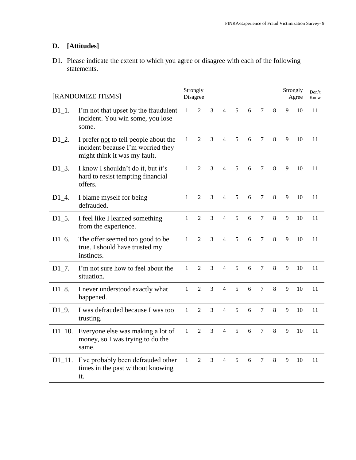## **D. [Attitudes]**

D1. Please indicate the extent to which you agree or disagree with each of the following statements.

| [RANDOMIZE ITEMS] |                                                                                                            | Strongly<br>Disagree |                |                |                |   |   |                |   | Strongly<br>Agree | Don't<br>Know |    |
|-------------------|------------------------------------------------------------------------------------------------------------|----------------------|----------------|----------------|----------------|---|---|----------------|---|-------------------|---------------|----|
| $D1_1$ .          | I'm not that upset by the fraudulent<br>incident. You win some, you lose<br>some.                          | $\mathbf{1}$         | 2              | 3              | $\overline{4}$ | 5 | 6 | $\tau$         | 8 | 9                 | 10            | 11 |
| $D1_2$ .          | I prefer not to tell people about the<br>incident because I'm worried they<br>might think it was my fault. | $\mathbf{1}$         | $\overline{2}$ | 3              | $\overline{4}$ | 5 | 6 | 7              | 8 | 9                 | 10            | 11 |
| $D1_3$ .          | I know I shouldn't do it, but it's<br>hard to resist tempting financial<br>offers.                         | $\mathbf{1}$         | 2              | $\overline{3}$ | $\overline{4}$ | 5 | 6 | $\tau$         | 8 | 9                 | 10            | 11 |
| $D1_4$ .          | I blame myself for being<br>defrauded.                                                                     | $\mathbf{1}$         | $\mathfrak{D}$ | 3              | $\overline{4}$ | 5 | 6 | $\tau$         | 8 | 9                 | 10            | 11 |
| $D1_5$ .          | I feel like I learned something<br>from the experience.                                                    | $\mathbf{1}$         | $\overline{2}$ | 3              | $\overline{4}$ | 5 | 6 | $\tau$         | 8 | 9                 | 10            | 11 |
| $D1_6$ .          | The offer seemed too good to be<br>true. I should have trusted my<br>instincts.                            | $\mathbf{1}$         | $\overline{2}$ | 3              | $\overline{4}$ | 5 | 6 | $\tau$         | 8 | 9                 | 10            | 11 |
| $D1_7$ .          | I'm not sure how to feel about the<br>situation.                                                           | $\mathbf{1}$         | $\mathfrak{D}$ | $\overline{3}$ | $\overline{4}$ | 5 | 6 | $\tau$         | 8 | 9                 | 10            | 11 |
| $D1_8$ .          | I never understood exactly what<br>happened.                                                               | $\mathbf{1}$         | $\overline{2}$ | 3              | $\overline{4}$ | 5 | 6 | $\tau$         | 8 | 9                 | 10            | 11 |
| $D1_9$ .          | I was defrauded because I was too<br>trusting.                                                             | $\mathbf{1}$         | $\overline{2}$ | 3              | 4              | 5 | 6 | $\tau$         | 8 | 9                 | 10            | 11 |
| $D1_10.$          | Everyone else was making a lot of<br>money, so I was trying to do the<br>same.                             | $\mathbf{1}$         | $\overline{2}$ | 3              | $\overline{4}$ | 5 | 6 | $\overline{7}$ | 8 | 9                 | 10            | 11 |
| $D1_11.$          | I've probably been defrauded other<br>times in the past without knowing<br>it.                             | $\mathbf{1}$         | 2              | 3              | $\overline{4}$ | 5 | 6 | $\tau$         | 8 | 9                 | 10            | 11 |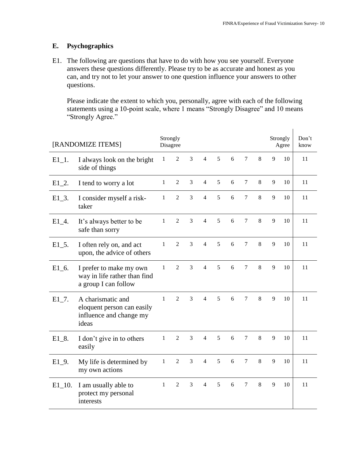## **E. Psychographics**

E1. The following are questions that have to do with how you see yourself. Everyone answers these questions differently. Please try to be as accurate and honest as you can, and try not to let your answer to one question influence your answers to other questions.

Please indicate the extent to which you, personally, agree with each of the following statements using a 10-point scale, where 1 means "Strongly Disagree" and 10 means "Strongly Agree."

| [RANDOMIZE ITEMS] |                                                                                     |              | Strongly<br>Disagree |                |                |   |   |                 |   |   | Strongly<br>Agree | Don't<br>know |
|-------------------|-------------------------------------------------------------------------------------|--------------|----------------------|----------------|----------------|---|---|-----------------|---|---|-------------------|---------------|
| $E1_1$ .          | I always look on the bright<br>side of things                                       |              | $\overline{2}$       | $\overline{3}$ | $\overline{4}$ | 5 | 6 | 7               | 8 | 9 | 10                | 11            |
| $E1_2$ .          | I tend to worry a lot                                                               | $\mathbf{1}$ | $\overline{2}$       | 3              | $\overline{4}$ | 5 | 6 | $\tau$          | 8 | 9 | 10                | 11            |
| $E1_3$ .          | I consider myself a risk-<br>taker                                                  | $\mathbf{1}$ | $\overline{2}$       | 3              | $\overline{4}$ | 5 | 6 | $\tau$          | 8 | 9 | 10                | 11            |
| $E1_4$ .          | It's always better to be<br>safe than sorry                                         | $\mathbf{1}$ | $\overline{2}$       | $\overline{3}$ | $\overline{4}$ | 5 | 6 | $\overline{7}$  | 8 | 9 | 10                | 11            |
| $E1\_5$ .         | I often rely on, and act<br>upon, the advice of others                              | 1            | $\overline{2}$       | 3              | $\overline{4}$ | 5 | 6 | $7\phantom{.0}$ | 8 | 9 | 10                | 11            |
| $E1_6$ .          | I prefer to make my own<br>way in life rather than find<br>a group I can follow     | 1            | $\overline{2}$       | 3              | $\overline{4}$ | 5 | 6 | 7               | 8 | 9 | 10                | 11            |
| $E1_7$ .          | A charismatic and<br>eloquent person can easily<br>influence and change my<br>ideas | $\mathbf{1}$ | $\overline{2}$       | 3              | $\overline{4}$ | 5 | 6 | 7               | 8 | 9 | 10                | 11            |
| $E1_8$ .          | I don't give in to others<br>easily                                                 | $\mathbf{1}$ | $\overline{2}$       | $\overline{3}$ | $\overline{4}$ | 5 | 6 | $\tau$          | 8 | 9 | 10                | 11            |
| $E1_9$ .          | My life is determined by<br>my own actions                                          | $\mathbf{1}$ | $\overline{2}$       | $\overline{3}$ | $\overline{4}$ | 5 | 6 | $\overline{7}$  | 8 | 9 | 10                | 11            |
| $E1_10$ .         | I am usually able to<br>protect my personal<br>interests                            | 1            | 2                    | 3              | $\overline{4}$ | 5 | 6 | $\tau$          | 8 | 9 | 10                | 11            |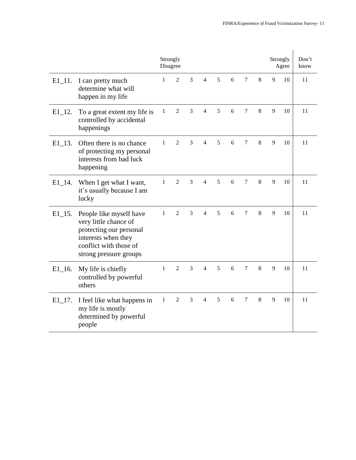|                       |                                                                                                                                                        | Strongly<br>Disagree |                |   |                          |   |   |                |         |   | Strongly<br>Agree | Don't<br>know |
|-----------------------|--------------------------------------------------------------------------------------------------------------------------------------------------------|----------------------|----------------|---|--------------------------|---|---|----------------|---------|---|-------------------|---------------|
| $E1_11.$              | I can pretty much<br>determine what will<br>happen in my life                                                                                          | $\mathbf{1}$         | 2              | 3 | $\overline{4}$           | 5 | 6 | $\tau$         | 8       | 9 | 10                | 11            |
| $E1_12.$              | To a great extent my life is<br>controlled by accidental<br>happenings                                                                                 | $\mathbf{1}$         | $\overline{2}$ | 3 | $\overline{4}$           | 5 | 6 | $\tau$         | 8       | 9 | 10                | 11            |
| $E1_{13}$ .           | Often there is no chance<br>of protecting my personal<br>interests from bad luck<br>happening                                                          | $\mathbf{1}$         | $\overline{2}$ | 3 | 4                        | 5 | 6 | $\tau$         | 8       | 9 | 10                | 11            |
| $E1$ <sup>14</sup> .  | When I get what I want,<br>it's usually because I am<br>lucky                                                                                          | $\mathbf{1}$         | $\overline{2}$ | 3 | 4                        | 5 | 6 | $\tau$         | 8       | 9 | 10                | 11            |
| $E1$ <sub>-15</sub> . | People like myself have<br>very little chance of<br>protecting our personal<br>interests when they<br>conflict with those of<br>strong pressure groups | $\mathbf{1}$         | $\mathfrak{D}$ | 3 | $\overline{\mathcal{A}}$ | 5 | 6 | 7              | 8       | 9 | 10                | 11            |
| $E1$ <sub>-16</sub> . | My life is chiefly<br>controlled by powerful<br>others                                                                                                 | $\mathbf{1}$         | $\overline{2}$ | 3 | $\overline{4}$           | 5 | 6 | $\overline{7}$ | $\,8\,$ | 9 | 10                | 11            |
| $E1_17$ .             | I feel like what happens in<br>my life is mostly<br>determined by powerful<br>people                                                                   | $\mathbf{1}$         | $\overline{2}$ | 3 | $\overline{4}$           | 5 | 6 | $\overline{7}$ | 8       | 9 | 10                | 11            |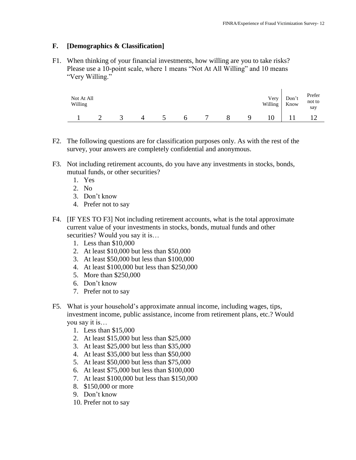#### **F. [Demographics & Classification]**

F1. When thinking of your financial investments, how willing are you to take risks? Please use a 10-point scale, where 1 means "Not At All Willing" and 10 means "Very Willing."

| Not At All<br>Willing |  |  |   |  | Very<br>Willing | Don't<br>Know | Prefer<br>not to<br>say |
|-----------------------|--|--|---|--|-----------------|---------------|-------------------------|
|                       |  |  | b |  |                 |               |                         |

- F2. The following questions are for classification purposes only. As with the rest of the survey, your answers are completely confidential and anonymous.
- F3. Not including retirement accounts, do you have any investments in stocks, bonds, mutual funds, or other securities?
	- 1. Yes
	- 2. No
	- 3. Don't know
	- 4. Prefer not to say
- F4. [IF YES TO F3] Not including retirement accounts, what is the total approximate current value of your investments in stocks, bonds, mutual funds and other securities? Would you say it is...
	- 1. Less than \$10,000
	- 2. At least \$10,000 but less than \$50,000
	- 3. At least \$50,000 but less than \$100,000
	- 4. At least \$100,000 but less than \$250,000
	- 5. More than \$250,000
	- 6. Don't know
	- 7. Prefer not to say
- F5. What is your household's approximate annual income, including wages, tips, investment income, public assistance, income from retirement plans, etc.? Would you say it is…
	- 1. Less than \$15,000
	- 2. At least \$15,000 but less than \$25,000
	- 3. At least \$25,000 but less than \$35,000
	- 4. At least \$35,000 but less than \$50,000
	- 5. At least \$50,000 but less than \$75,000
	- 6. At least \$75,000 but less than \$100,000
	- 7. At least \$100,000 but less than \$150,000
	- 8. \$150,000 or more
	- 9. Don't know
	- 10. Prefer not to say